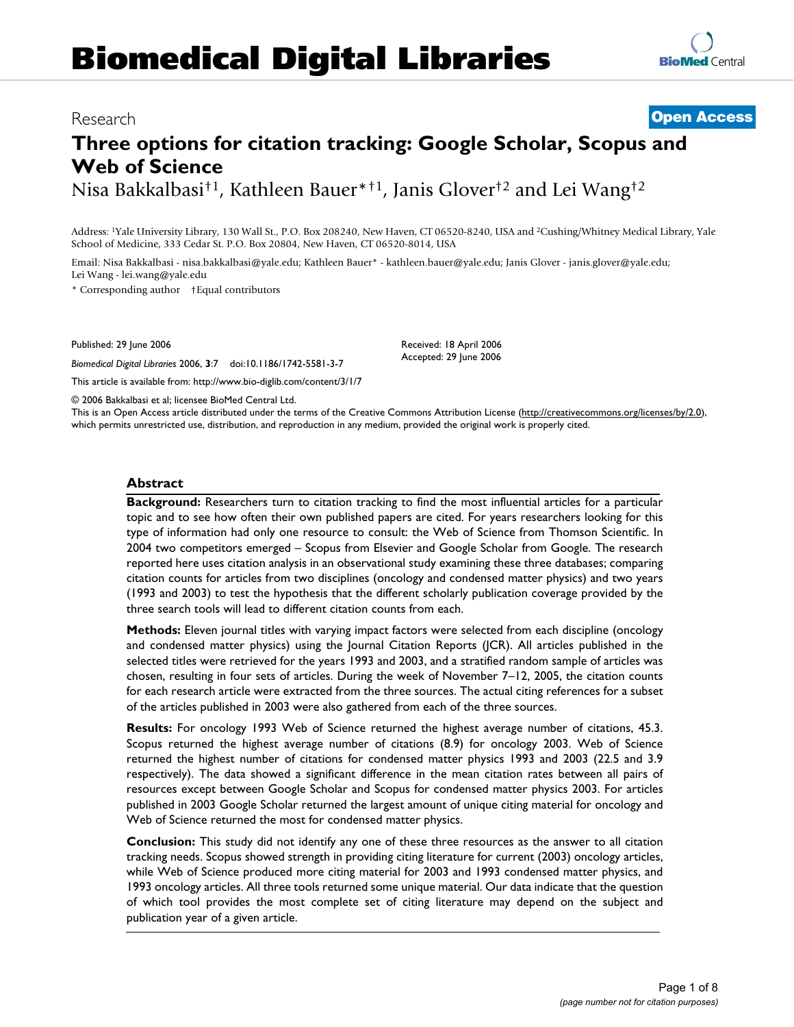# **Biomedical Digital Libraries**

# **BioMed** Central

# **Three options for citation tracking: Google Scholar, Scopus and Web of Science**

Nisa Bakkalbasi†1, Kathleen Bauer\*†1, Janis Glover†2 and Lei Wang†2

Address: 1Yale University Library, 130 Wall St., P.O. Box 208240, New Haven, CT 06520-8240, USA and 2Cushing/Whitney Medical Library, Yale School of Medicine, 333 Cedar St. P.O. Box 20804, New Haven, CT 06520-8014, USA

Email: Nisa Bakkalbasi - nisa.bakkalbasi@yale.edu; Kathleen Bauer\* - kathleen.bauer@yale.edu; Janis Glover - janis.glover@yale.edu; Lei Wang - lei.wang@yale.edu

\* Corresponding author †Equal contributors

Published: 29 June 2006

*Biomedical Digital Libraries* 2006, **3**:7 doi:10.1186/1742-5581-3-7

This article is available from: http://www.bio-diglib.com/content/3/1/7

© 2006 Bakkalbasi et al; licensee BioMed Central Ltd.

This is an Open Access article distributed under the terms of the Creative Commons Attribution License (http://creativecommons.org/licenses/by/2.0), which permits unrestricted use, distribution, and reproduction in any medium, provided the original work is properly cited.

Received: 18 April 2006 Accepted: 29 June 2006

#### **Abstract**

**Background:** Researchers turn to citation tracking to find the most influential articles for a particular topic and to see how often their own published papers are cited. For years researchers looking for this type of information had only one resource to consult: the Web of Science from Thomson Scientific. In 2004 two competitors emerged – Scopus from Elsevier and Google Scholar from Google. The research reported here uses citation analysis in an observational study examining these three databases; comparing citation counts for articles from two disciplines (oncology and condensed matter physics) and two years (1993 and 2003) to test the hypothesis that the different scholarly publication coverage provided by the three search tools will lead to different citation counts from each.

**Methods:** Eleven journal titles with varying impact factors were selected from each discipline (oncology and condensed matter physics) using the Journal Citation Reports (JCR). All articles published in the selected titles were retrieved for the years 1993 and 2003, and a stratified random sample of articles was chosen, resulting in four sets of articles. During the week of November 7–12, 2005, the citation counts for each research article were extracted from the three sources. The actual citing references for a subset of the articles published in 2003 were also gathered from each of the three sources.

**Results:** For oncology 1993 Web of Science returned the highest average number of citations, 45.3. Scopus returned the highest average number of citations (8.9) for oncology 2003. Web of Science returned the highest number of citations for condensed matter physics 1993 and 2003 (22.5 and 3.9 respectively). The data showed a significant difference in the mean citation rates between all pairs of resources except between Google Scholar and Scopus for condensed matter physics 2003. For articles published in 2003 Google Scholar returned the largest amount of unique citing material for oncology and Web of Science returned the most for condensed matter physics.

**Conclusion:** This study did not identify any one of these three resources as the answer to all citation tracking needs. Scopus showed strength in providing citing literature for current (2003) oncology articles, while Web of Science produced more citing material for 2003 and 1993 condensed matter physics, and 1993 oncology articles. All three tools returned some unique material. Our data indicate that the question of which tool provides the most complete set of citing literature may depend on the subject and publication year of a given article.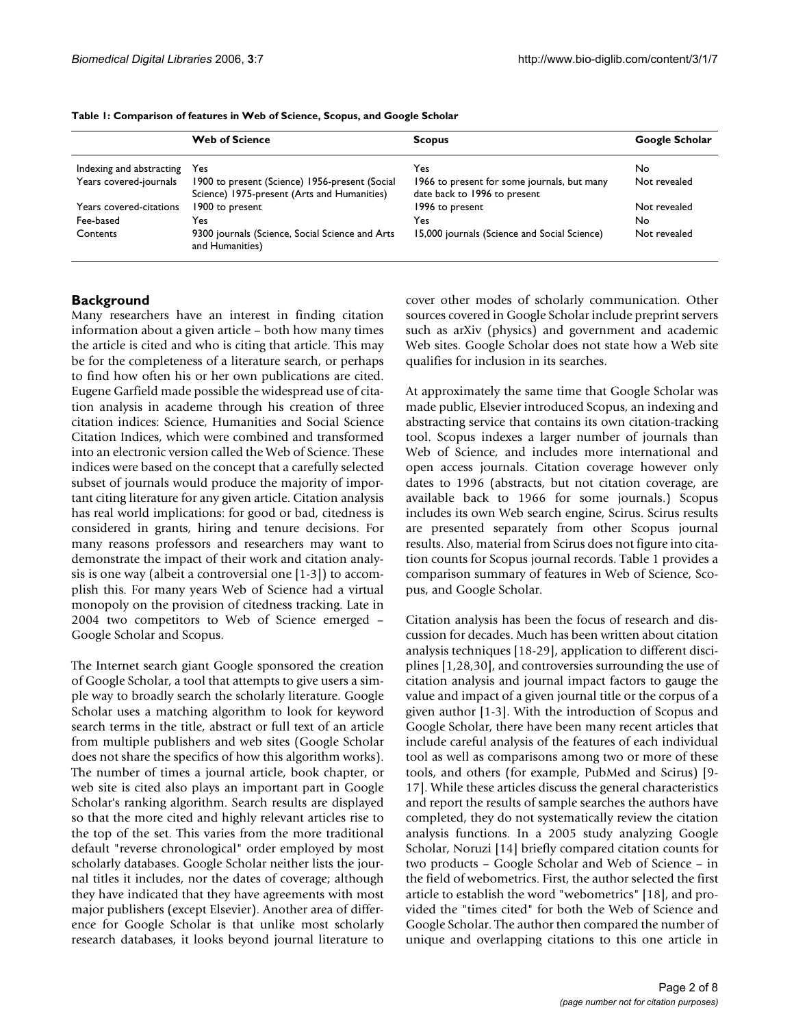|                          | <b>Web of Science</b>                                                                         | <b>Scopus</b>                                                               | Google Scholar |
|--------------------------|-----------------------------------------------------------------------------------------------|-----------------------------------------------------------------------------|----------------|
| Indexing and abstracting | Yes                                                                                           | Yes                                                                         | No             |
| Years covered-journals   | 1900 to present (Science) 1956-present (Social<br>Science) 1975-present (Arts and Humanities) | 1966 to present for some journals, but many<br>date back to 1996 to present | Not revealed   |
| Years covered-citations  | 1900 to present                                                                               | 1996 to present                                                             | Not revealed   |
| Fee-based                | Yes                                                                                           | Yes                                                                         | No.            |
| Contents                 | 9300 journals (Science, Social Science and Arts<br>and Humanities)                            | 15,000 journals (Science and Social Science)                                | Not revealed   |

**Table 1: Comparison of features in Web of Science, Scopus, and Google Scholar**

# **Background**

Many researchers have an interest in finding citation information about a given article – both how many times the article is cited and who is citing that article. This may be for the completeness of a literature search, or perhaps to find how often his or her own publications are cited. Eugene Garfield made possible the widespread use of citation analysis in academe through his creation of three citation indices: Science, Humanities and Social Science Citation Indices, which were combined and transformed into an electronic version called the Web of Science. These indices were based on the concept that a carefully selected subset of journals would produce the majority of important citing literature for any given article. Citation analysis has real world implications: for good or bad, citedness is considered in grants, hiring and tenure decisions. For many reasons professors and researchers may want to demonstrate the impact of their work and citation analysis is one way (albeit a controversial one [1-3]) to accomplish this. For many years Web of Science had a virtual monopoly on the provision of citedness tracking. Late in 2004 two competitors to Web of Science emerged – Google Scholar and Scopus.

The Internet search giant Google sponsored the creation of Google Scholar, a tool that attempts to give users a simple way to broadly search the scholarly literature. Google Scholar uses a matching algorithm to look for keyword search terms in the title, abstract or full text of an article from multiple publishers and web sites (Google Scholar does not share the specifics of how this algorithm works). The number of times a journal article, book chapter, or web site is cited also plays an important part in Google Scholar's ranking algorithm. Search results are displayed so that the more cited and highly relevant articles rise to the top of the set. This varies from the more traditional default "reverse chronological" order employed by most scholarly databases. Google Scholar neither lists the journal titles it includes, nor the dates of coverage; although they have indicated that they have agreements with most major publishers (except Elsevier). Another area of difference for Google Scholar is that unlike most scholarly research databases, it looks beyond journal literature to

cover other modes of scholarly communication. Other sources covered in Google Scholar include preprint servers such as arXiv (physics) and government and academic Web sites. Google Scholar does not state how a Web site qualifies for inclusion in its searches.

At approximately the same time that Google Scholar was made public, Elsevier introduced Scopus, an indexing and abstracting service that contains its own citation-tracking tool. Scopus indexes a larger number of journals than Web of Science, and includes more international and open access journals. Citation coverage however only dates to 1996 (abstracts, but not citation coverage, are available back to 1966 for some journals.) Scopus includes its own Web search engine, Scirus. Scirus results are presented separately from other Scopus journal results. Also, material from Scirus does not figure into citation counts for Scopus journal records. Table 1 provides a comparison summary of features in Web of Science, Scopus, and Google Scholar.

Citation analysis has been the focus of research and discussion for decades. Much has been written about citation analysis techniques [18-29], application to different disciplines [1,28,30], and controversies surrounding the use of citation analysis and journal impact factors to gauge the value and impact of a given journal title or the corpus of a given author [1-3]. With the introduction of Scopus and Google Scholar, there have been many recent articles that include careful analysis of the features of each individual tool as well as comparisons among two or more of these tools, and others (for example, PubMed and Scirus) [9- 17]. While these articles discuss the general characteristics and report the results of sample searches the authors have completed, they do not systematically review the citation analysis functions. In a 2005 study analyzing Google Scholar, Noruzi [14] briefly compared citation counts for two products – Google Scholar and Web of Science – in the field of webometrics. First, the author selected the first article to establish the word "webometrics" [18], and provided the "times cited" for both the Web of Science and Google Scholar. The author then compared the number of unique and overlapping citations to this one article in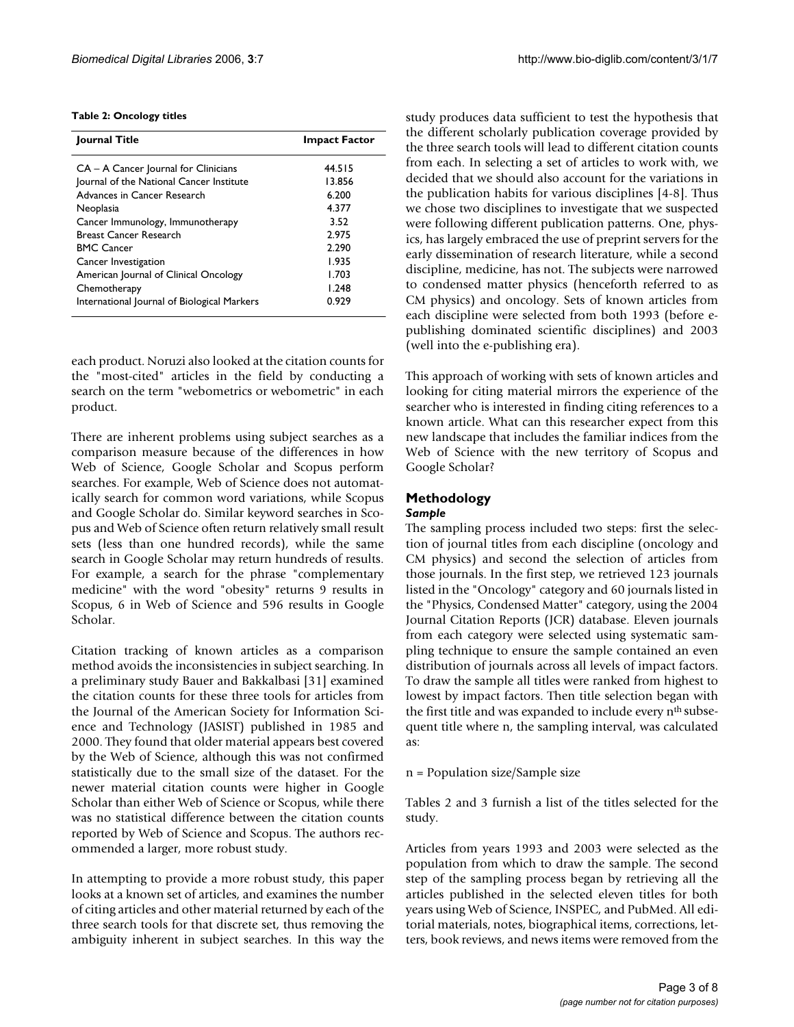#### **Table 2: Oncology titles**

| Journal Title                               | <b>Impact Factor</b> |  |  |
|---------------------------------------------|----------------------|--|--|
| CA - A Cancer Journal for Clinicians        | 44.515               |  |  |
| Journal of the National Cancer Institute    | 13.856               |  |  |
| Advances in Cancer Research                 | 6.200                |  |  |
| Neoplasia                                   | 4.377                |  |  |
| Cancer Immunology, Immunotherapy            | 3.52                 |  |  |
| <b>Breast Cancer Research</b>               | 2.975                |  |  |
| <b>BMC Cancer</b>                           | 2.290                |  |  |
| Cancer Investigation                        | 1.935                |  |  |
| American Journal of Clinical Oncology       | 1.703                |  |  |
| Chemotherapy                                | 1.248                |  |  |
| International Journal of Biological Markers | 0.929                |  |  |

each product. Noruzi also looked at the citation counts for the "most-cited" articles in the field by conducting a search on the term "webometrics or webometric" in each product.

There are inherent problems using subject searches as a comparison measure because of the differences in how Web of Science, Google Scholar and Scopus perform searches. For example, Web of Science does not automatically search for common word variations, while Scopus and Google Scholar do. Similar keyword searches in Scopus and Web of Science often return relatively small result sets (less than one hundred records), while the same search in Google Scholar may return hundreds of results. For example, a search for the phrase "complementary medicine" with the word "obesity" returns 9 results in Scopus, 6 in Web of Science and 596 results in Google Scholar.

Citation tracking of known articles as a comparison method avoids the inconsistencies in subject searching. In a preliminary study Bauer and Bakkalbasi [31] examined the citation counts for these three tools for articles from the Journal of the American Society for Information Science and Technology (JASIST) published in 1985 and 2000. They found that older material appears best covered by the Web of Science, although this was not confirmed statistically due to the small size of the dataset. For the newer material citation counts were higher in Google Scholar than either Web of Science or Scopus, while there was no statistical difference between the citation counts reported by Web of Science and Scopus. The authors recommended a larger, more robust study.

In attempting to provide a more robust study, this paper looks at a known set of articles, and examines the number of citing articles and other material returned by each of the three search tools for that discrete set, thus removing the ambiguity inherent in subject searches. In this way the study produces data sufficient to test the hypothesis that the different scholarly publication coverage provided by the three search tools will lead to different citation counts from each. In selecting a set of articles to work with, we decided that we should also account for the variations in the publication habits for various disciplines [4-8]. Thus we chose two disciplines to investigate that we suspected were following different publication patterns. One, physics, has largely embraced the use of preprint servers for the early dissemination of research literature, while a second discipline, medicine, has not. The subjects were narrowed to condensed matter physics (henceforth referred to as CM physics) and oncology. Sets of known articles from each discipline were selected from both 1993 (before epublishing dominated scientific disciplines) and 2003 (well into the e-publishing era).

This approach of working with sets of known articles and looking for citing material mirrors the experience of the searcher who is interested in finding citing references to a known article. What can this researcher expect from this new landscape that includes the familiar indices from the Web of Science with the new territory of Scopus and Google Scholar?

# **Methodology**

# *Sample*

The sampling process included two steps: first the selection of journal titles from each discipline (oncology and CM physics) and second the selection of articles from those journals. In the first step, we retrieved 123 journals listed in the "Oncology" category and 60 journals listed in the "Physics, Condensed Matter" category, using the 2004 Journal Citation Reports (JCR) database. Eleven journals from each category were selected using systematic sampling technique to ensure the sample contained an even distribution of journals across all levels of impact factors. To draw the sample all titles were ranked from highest to lowest by impact factors. Then title selection began with the first title and was expanded to include every nth subsequent title where n, the sampling interval, was calculated as:

n = Population size/Sample size

Tables 2 and 3 furnish a list of the titles selected for the study.

Articles from years 1993 and 2003 were selected as the population from which to draw the sample. The second step of the sampling process began by retrieving all the articles published in the selected eleven titles for both years using Web of Science, INSPEC, and PubMed. All editorial materials, notes, biographical items, corrections, letters, book reviews, and news items were removed from the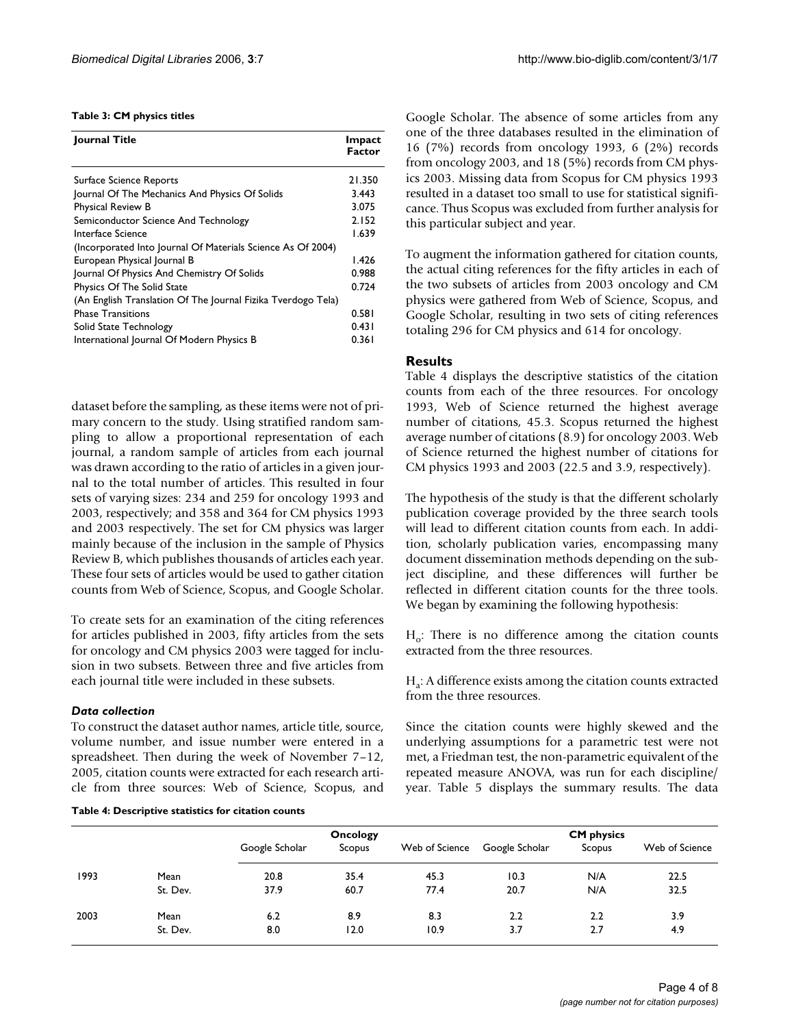#### **Table 3: CM physics titles**

| Journal Title                                                | Impact<br><b>Factor</b> |
|--------------------------------------------------------------|-------------------------|
| Surface Science Reports                                      | 21.350                  |
| Journal Of The Mechanics And Physics Of Solids               | 3.443                   |
| Physical Review B                                            | 3.075                   |
| Semiconductor Science And Technology                         | 2.152                   |
| Interface Science                                            | 1.639                   |
| (Incorporated Into Journal Of Materials Science As Of 2004)  |                         |
| European Physical Journal B                                  | 1.426                   |
| Journal Of Physics And Chemistry Of Solids                   | 0.988                   |
| Physics Of The Solid State                                   | 0.724                   |
| (An English Translation Of The Journal Fizika Tverdogo Tela) |                         |
| <b>Phase Transitions</b>                                     | 0.581                   |
| Solid State Technology                                       | 0.431                   |
| International Journal Of Modern Physics B                    | 0.361                   |

dataset before the sampling, as these items were not of primary concern to the study. Using stratified random sampling to allow a proportional representation of each journal, a random sample of articles from each journal was drawn according to the ratio of articles in a given journal to the total number of articles. This resulted in four sets of varying sizes: 234 and 259 for oncology 1993 and 2003, respectively; and 358 and 364 for CM physics 1993 and 2003 respectively. The set for CM physics was larger mainly because of the inclusion in the sample of Physics Review B, which publishes thousands of articles each year. These four sets of articles would be used to gather citation counts from Web of Science, Scopus, and Google Scholar.

To create sets for an examination of the citing references for articles published in 2003, fifty articles from the sets for oncology and CM physics 2003 were tagged for inclusion in two subsets. Between three and five articles from each journal title were included in these subsets.

#### *Data collection*

To construct the dataset author names, article title, source, volume number, and issue number were entered in a spreadsheet. Then during the week of November 7–12, 2005, citation counts were extracted for each research article from three sources: Web of Science, Scopus, and

#### **Table 4: Descriptive statistics for citation counts**

Google Scholar. The absence of some articles from any one of the three databases resulted in the elimination of 16 (7%) records from oncology 1993, 6 (2%) records from oncology 2003, and 18 (5%) records from CM physics 2003. Missing data from Scopus for CM physics 1993 resulted in a dataset too small to use for statistical significance. Thus Scopus was excluded from further analysis for this particular subject and year.

To augment the information gathered for citation counts, the actual citing references for the fifty articles in each of the two subsets of articles from 2003 oncology and CM physics were gathered from Web of Science, Scopus, and Google Scholar, resulting in two sets of citing references totaling 296 for CM physics and 614 for oncology.

# **Results**

Table 4 displays the descriptive statistics of the citation counts from each of the three resources. For oncology 1993, Web of Science returned the highest average number of citations, 45.3. Scopus returned the highest average number of citations (8.9) for oncology 2003. Web of Science returned the highest number of citations for CM physics 1993 and 2003 (22.5 and 3.9, respectively).

The hypothesis of the study is that the different scholarly publication coverage provided by the three search tools will lead to different citation counts from each. In addition, scholarly publication varies, encompassing many document dissemination methods depending on the subject discipline, and these differences will further be reflected in different citation counts for the three tools. We began by examining the following hypothesis:

 $H_0$ : There is no difference among the citation counts extracted from the three resources.

Ha: A difference exists among the citation counts extracted from the three resources.

Since the citation counts were highly skewed and the underlying assumptions for a parametric test were not met, a Friedman test, the non-parametric equivalent of the repeated measure ANOVA, was run for each discipline/ year. Table 5 displays the summary results. The data

|      |          | Oncology       |        | <b>CM</b> physics |                |        |                |
|------|----------|----------------|--------|-------------------|----------------|--------|----------------|
|      |          | Google Scholar | Scopus | Web of Science    | Google Scholar | Scopus | Web of Science |
| 1993 | Mean     | 20.8           | 35.4   | 45.3              | 10.3           | N/A    | 22.5           |
|      | St. Dev. | 37.9           | 60.7   | 77.4              | 20.7           | N/A    | 32.5           |
| 2003 | Mean     | 6.2            | 8.9    | 8.3               | 2.2            | 2.2    | 3.9            |
|      | St. Dev. | 8.0            | 12.0   | 10.9              | 3.7            | 2.7    | 4.9            |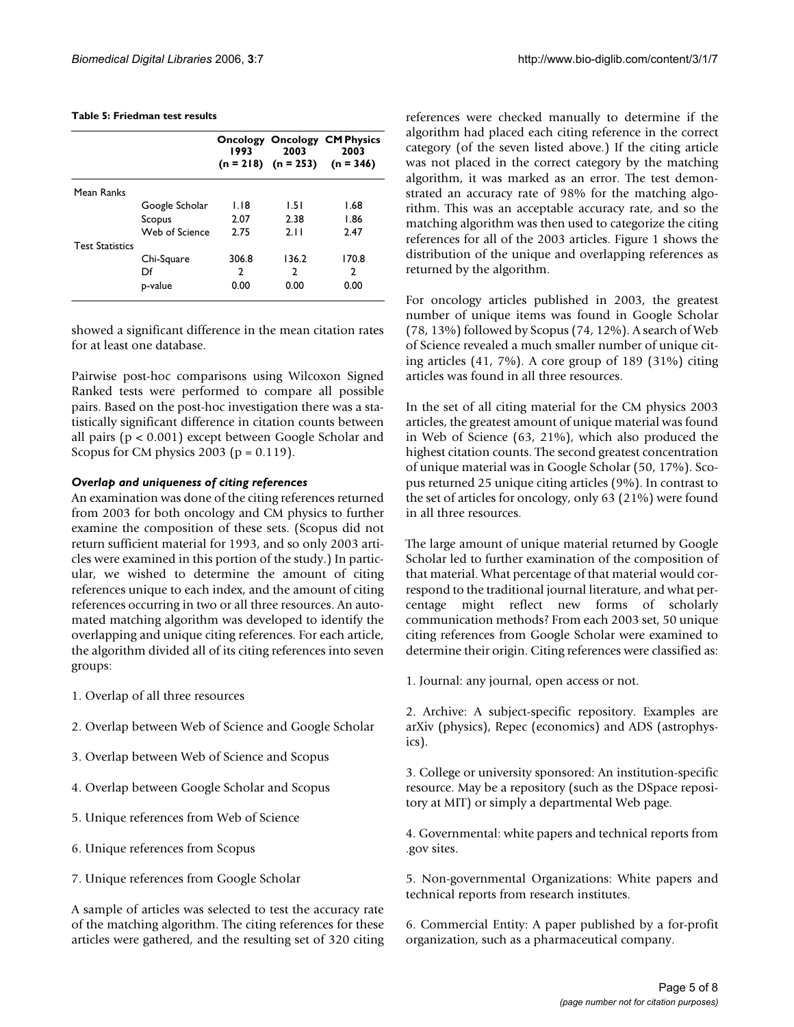#### *Biomedical Digital Libraries* 2006, **3**:7 http://www.bio-diglib.com/content/3/1/7

#### **Table 5: Friedman test results**

|                        |                | 1993  | 2003<br>$(n = 218)$ $(n = 253)$ | <b>Oncology Oncology CM Physics</b><br>2003<br>$(n = 346)$ |
|------------------------|----------------|-------|---------------------------------|------------------------------------------------------------|
| Mean Ranks             |                |       |                                 |                                                            |
|                        | Google Scholar | 1.18  | 1.51                            | 1.68                                                       |
|                        | Scopus         | 2.07  | 2.38                            | 1.86                                                       |
|                        | Web of Science | 2.75  | 2.11                            | 2.47                                                       |
| <b>Test Statistics</b> |                |       |                                 |                                                            |
|                        | Chi-Square     | 306.8 | 136.2                           | 170.8                                                      |
|                        | Df             | 2     | $\mathcal{P}$                   | 2                                                          |
|                        | p-value        | 0.00  | 0.00                            | 0.00                                                       |

showed a significant difference in the mean citation rates for at least one database.

Pairwise post-hoc comparisons using Wilcoxon Signed Ranked tests were performed to compare all possible pairs. Based on the post-hoc investigation there was a statistically significant difference in citation counts between all pairs (p < 0.001) except between Google Scholar and Scopus for CM physics 2003 ( $p = 0.119$ ).

# *Overlap and uniqueness of citing references*

An examination was done of the citing references returned from 2003 for both oncology and CM physics to further examine the composition of these sets. (Scopus did not return sufficient material for 1993, and so only 2003 articles were examined in this portion of the study.) In particular, we wished to determine the amount of citing references unique to each index, and the amount of citing references occurring in two or all three resources. An automated matching algorithm was developed to identify the overlapping and unique citing references. For each article, the algorithm divided all of its citing references into seven groups:

- 1. Overlap of all three resources
- 2. Overlap between Web of Science and Google Scholar
- 3. Overlap between Web of Science and Scopus
- 4. Overlap between Google Scholar and Scopus
- 5. Unique references from Web of Science
- 6. Unique references from Scopus
- 7. Unique references from Google Scholar

A sample of articles was selected to test the accuracy rate of the matching algorithm. The citing references for these articles were gathered, and the resulting set of 320 citing references were checked manually to determine if the algorithm had placed each citing reference in the correct category (of the seven listed above.) If the citing article was not placed in the correct category by the matching algorithm, it was marked as an error. The test demonstrated an accuracy rate of 98% for the matching algorithm. This was an acceptable accuracy rate, and so the matching algorithm was then used to categorize the citing references for all of the 2003 articles. Figure 1 shows the distribution of the unique and overlapping references as returned by the algorithm.

For oncology articles published in 2003, the greatest number of unique items was found in Google Scholar (78, 13%) followed by Scopus (74, 12%). A search of Web of Science revealed a much smaller number of unique citing articles (41, 7%). A core group of 189 (31%) citing articles was found in all three resources.

In the set of all citing material for the CM physics 2003 articles, the greatest amount of unique material was found in Web of Science (63, 21%), which also produced the highest citation counts. The second greatest concentration of unique material was in Google Scholar (50, 17%). Scopus returned 25 unique citing articles (9%). In contrast to the set of articles for oncology, only 63 (21%) were found in all three resources.

The large amount of unique material returned by Google Scholar led to further examination of the composition of that material. What percentage of that material would correspond to the traditional journal literature, and what percentage might reflect new forms of scholarly communication methods? From each 2003 set, 50 unique citing references from Google Scholar were examined to determine their origin. Citing references were classified as:

1. Journal: any journal, open access or not.

2. Archive: A subject-specific repository. Examples are arXiv (physics), Repec (economics) and ADS (astrophysics).

3. College or university sponsored: An institution-specific resource. May be a repository (such as the DSpace repository at MIT) or simply a departmental Web page.

4. Governmental: white papers and technical reports from .gov sites.

5. Non-governmental Organizations: White papers and technical reports from research institutes.

6. Commercial Entity: A paper published by a for-profit organization, such as a pharmaceutical company.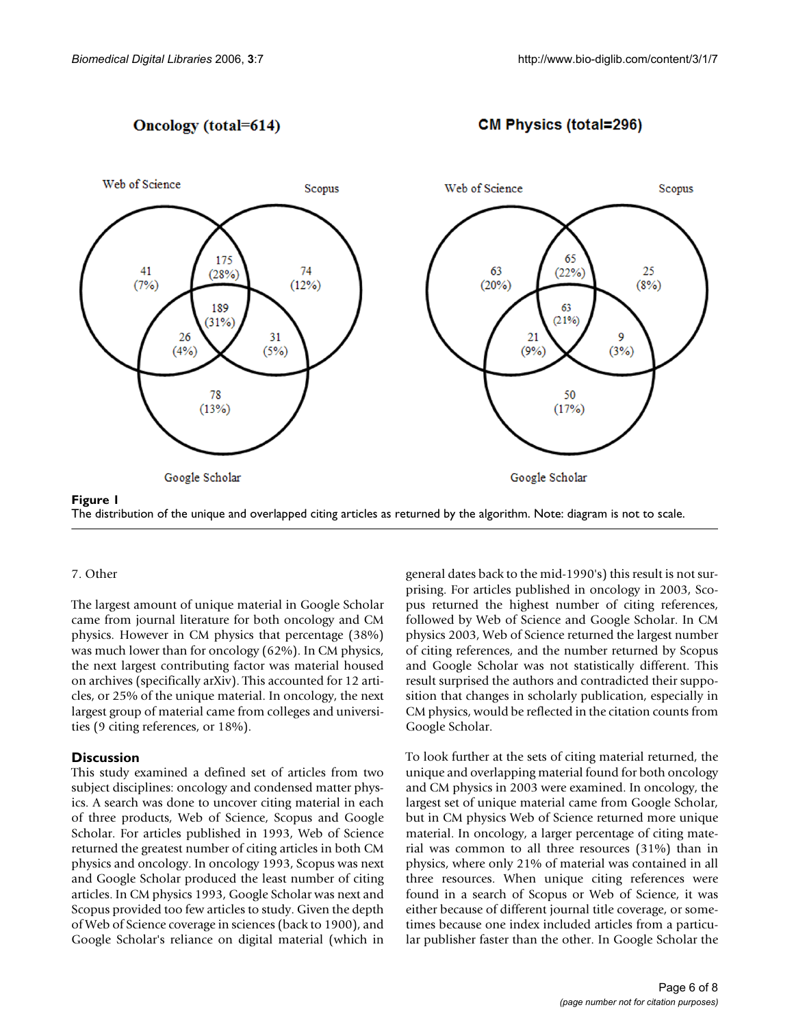# **Oncology** (total=614)

**CM Physics (total=296)** 



The distribution of the unique and overlapped citing articles as returned by the algorithm. Note: diagram is not to scale.

# 7. Other

The largest amount of unique material in Google Scholar came from journal literature for both oncology and CM physics. However in CM physics that percentage (38%) was much lower than for oncology (62%). In CM physics, the next largest contributing factor was material housed on archives (specifically arXiv). This accounted for 12 articles, or 25% of the unique material. In oncology, the next largest group of material came from colleges and universities (9 citing references, or 18%).

# **Discussion**

This study examined a defined set of articles from two subject disciplines: oncology and condensed matter physics. A search was done to uncover citing material in each of three products, Web of Science, Scopus and Google Scholar. For articles published in 1993, Web of Science returned the greatest number of citing articles in both CM physics and oncology. In oncology 1993, Scopus was next and Google Scholar produced the least number of citing articles. In CM physics 1993, Google Scholar was next and Scopus provided too few articles to study. Given the depth of Web of Science coverage in sciences (back to 1900), and Google Scholar's reliance on digital material (which in general dates back to the mid-1990's) this result is not surprising. For articles published in oncology in 2003, Scopus returned the highest number of citing references, followed by Web of Science and Google Scholar. In CM physics 2003, Web of Science returned the largest number of citing references, and the number returned by Scopus and Google Scholar was not statistically different. This result surprised the authors and contradicted their supposition that changes in scholarly publication, especially in CM physics, would be reflected in the citation counts from Google Scholar.

To look further at the sets of citing material returned, the unique and overlapping material found for both oncology and CM physics in 2003 were examined. In oncology, the largest set of unique material came from Google Scholar, but in CM physics Web of Science returned more unique material. In oncology, a larger percentage of citing material was common to all three resources (31%) than in physics, where only 21% of material was contained in all three resources. When unique citing references were found in a search of Scopus or Web of Science, it was either because of different journal title coverage, or sometimes because one index included articles from a particular publisher faster than the other. In Google Scholar the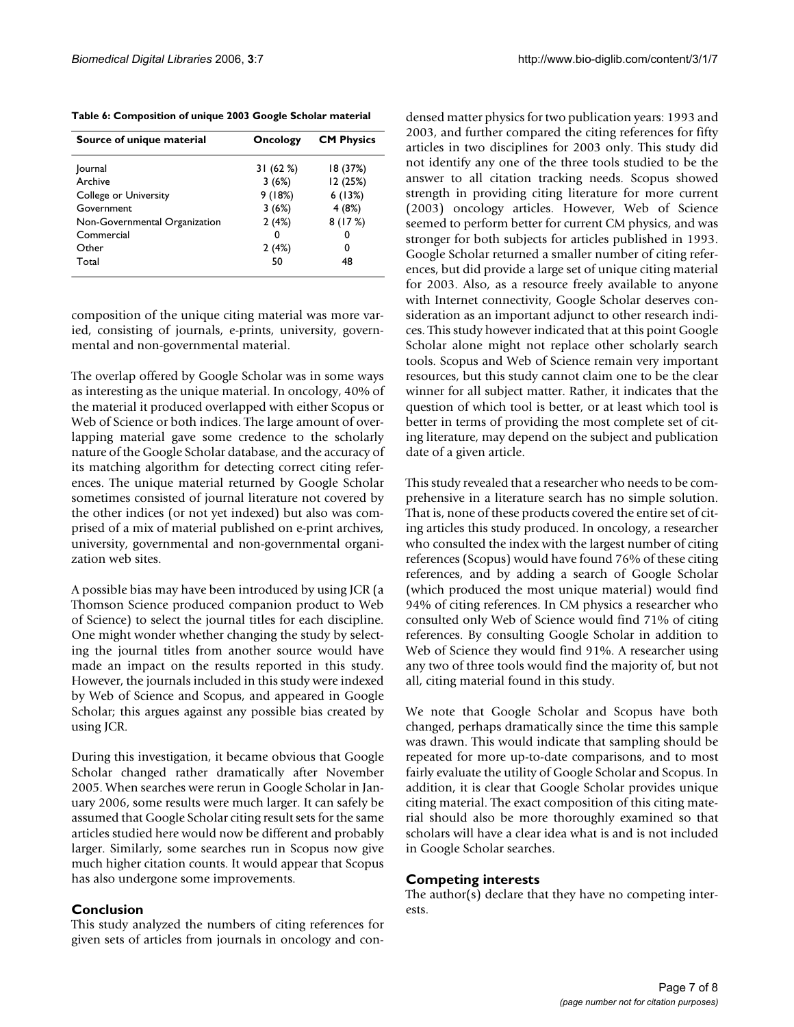| Table 6: Composition of unique 2003 Google Scholar material |  |  |  |  |
|-------------------------------------------------------------|--|--|--|--|
|-------------------------------------------------------------|--|--|--|--|

| Source of unique material     | Oncology | <b>CM Physics</b> |  |
|-------------------------------|----------|-------------------|--|
| Journal                       | 31(62%)  | 18 (37%)          |  |
| Archive                       | 3(6%)    | 12 (25%)          |  |
| College or University         | 9(18%)   | 6(13%)            |  |
| Government                    | 3(6%)    | 4(8%)             |  |
| Non-Governmental Organization | 2(4%)    | 8(17%)            |  |
| Commercial                    | 0        | 0                 |  |
| Other                         | 2(4%)    | 0                 |  |
| Total                         | 50       | 48                |  |

composition of the unique citing material was more varied, consisting of journals, e-prints, university, governmental and non-governmental material.

The overlap offered by Google Scholar was in some ways as interesting as the unique material. In oncology, 40% of the material it produced overlapped with either Scopus or Web of Science or both indices. The large amount of overlapping material gave some credence to the scholarly nature of the Google Scholar database, and the accuracy of its matching algorithm for detecting correct citing references. The unique material returned by Google Scholar sometimes consisted of journal literature not covered by the other indices (or not yet indexed) but also was comprised of a mix of material published on e-print archives, university, governmental and non-governmental organization web sites.

A possible bias may have been introduced by using JCR (a Thomson Science produced companion product to Web of Science) to select the journal titles for each discipline. One might wonder whether changing the study by selecting the journal titles from another source would have made an impact on the results reported in this study. However, the journals included in this study were indexed by Web of Science and Scopus, and appeared in Google Scholar; this argues against any possible bias created by using JCR.

During this investigation, it became obvious that Google Scholar changed rather dramatically after November 2005. When searches were rerun in Google Scholar in January 2006, some results were much larger. It can safely be assumed that Google Scholar citing result sets for the same articles studied here would now be different and probably larger. Similarly, some searches run in Scopus now give much higher citation counts. It would appear that Scopus has also undergone some improvements.

# **Conclusion**

This study analyzed the numbers of citing references for given sets of articles from journals in oncology and condensed matter physics for two publication years: 1993 and 2003, and further compared the citing references for fifty articles in two disciplines for 2003 only. This study did not identify any one of the three tools studied to be the answer to all citation tracking needs. Scopus showed strength in providing citing literature for more current (2003) oncology articles. However, Web of Science seemed to perform better for current CM physics, and was stronger for both subjects for articles published in 1993. Google Scholar returned a smaller number of citing references, but did provide a large set of unique citing material for 2003. Also, as a resource freely available to anyone with Internet connectivity, Google Scholar deserves consideration as an important adjunct to other research indices. This study however indicated that at this point Google Scholar alone might not replace other scholarly search tools. Scopus and Web of Science remain very important resources, but this study cannot claim one to be the clear winner for all subject matter. Rather, it indicates that the question of which tool is better, or at least which tool is better in terms of providing the most complete set of citing literature, may depend on the subject and publication date of a given article.

This study revealed that a researcher who needs to be comprehensive in a literature search has no simple solution. That is, none of these products covered the entire set of citing articles this study produced. In oncology, a researcher who consulted the index with the largest number of citing references (Scopus) would have found 76% of these citing references, and by adding a search of Google Scholar (which produced the most unique material) would find 94% of citing references. In CM physics a researcher who consulted only Web of Science would find 71% of citing references. By consulting Google Scholar in addition to Web of Science they would find 91%. A researcher using any two of three tools would find the majority of, but not all, citing material found in this study.

We note that Google Scholar and Scopus have both changed, perhaps dramatically since the time this sample was drawn. This would indicate that sampling should be repeated for more up-to-date comparisons, and to most fairly evaluate the utility of Google Scholar and Scopus. In addition, it is clear that Google Scholar provides unique citing material. The exact composition of this citing material should also be more thoroughly examined so that scholars will have a clear idea what is and is not included in Google Scholar searches.

# **Competing interests**

The author(s) declare that they have no competing interests.